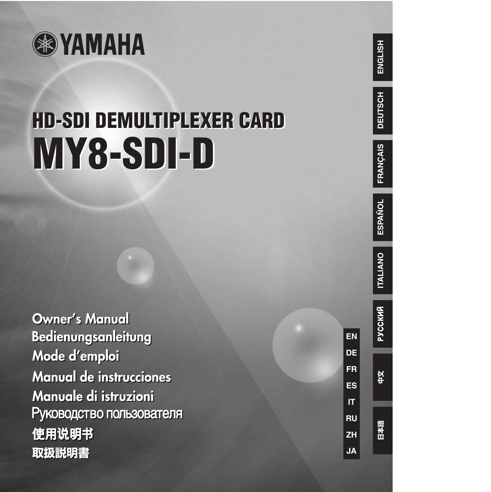

# **HD-SDI DEMULTIPLEXER CARD HD-SDI DEMULTIPLEXER CARD MY8-SDI-D MY8-SDI-D**

**Owner's Manual Bedienungsanleitung** Mode d'emploi **Manual de instrucciones** Manuale di istruzioni Руководство пользователя 使用说明书 取扱説明書

**JA RU IT ZH ES FR DE EN** ENGLISH

**日本語 中文 ITALIANO ESPAÑOL FRANÇAIS DEUTSCH ENGLISH DEUTSCH FRANÇAIS** 

**ESPAÑOL** 

**ITALIANO** 

**РУССКИЙ** 

 $\frac{1}{4}$ 

日本語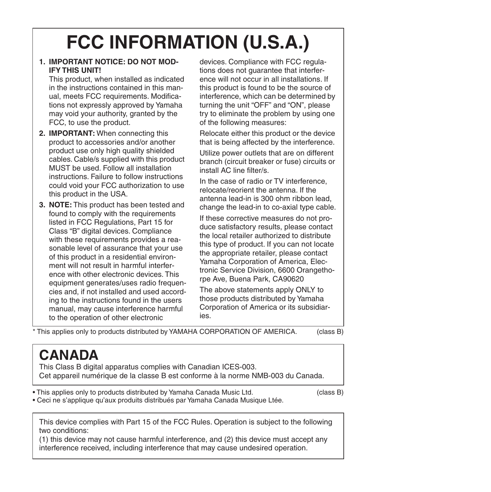## **FCC INFORMATION (U.S.A.)**

#### **1. IMPORTANT NOTICE: DO NOT MOD-IFY THIS UNIT!**

This product, when installed as indicated in the instructions contained in this manual, meets FCC requirements. Modifications not expressly approved by Yamaha may void your authority, granted by the FCC, to use the product.

- **2. IMPORTANT:** When connecting this product to accessories and/or another product use only high quality shielded cables. Cable/s supplied with this product MUST be used. Follow all installation instructions. Failure to follow instructions could void your FCC authorization to use this product in the USA.
- **3. NOTE:** This product has been tested and found to comply with the requirements listed in FCC Regulations, Part 15 for Class "B" digital devices. Compliance with these requirements provides a reasonable level of assurance that your use of this product in a residential environment will not result in harmful interference with other electronic devices. This equipment generates/uses radio frequencies and, if not installed and used according to the instructions found in the users manual, may cause interference harmful to the operation of other electronic

devices. Compliance with FCC regulations does not guarantee that interference will not occur in all installations. If this product is found to be the source of interference, which can be determined by turning the unit "OFF" and "ON", please try to eliminate the problem by using one of the following measures:

Relocate either this product or the device that is being affected by the interference.

Utilize power outlets that are on different branch (circuit breaker or fuse) circuits or install AC line filter/s.

In the case of radio or TV interference, relocate/reorient the antenna. If the antenna lead-in is 300 ohm ribbon lead, change the lead-in to co-axial type cable.

If these corrective measures do not produce satisfactory results, please contact the local retailer authorized to distribute this type of product. If you can not locate the appropriate retailer, please contact Yamaha Corporation of America, Electronic Service Division, 6600 Orangethorpe Ave, Buena Park, CA90620

The above statements apply ONLY to those products distributed by Yamaha Corporation of America or its subsidiaries.

\* This applies only to products distributed by YAMAHA CORPORATION OF AMERICA. (class B)

## **CANADA**

This Class B digital apparatus complies with Canadian ICES-003. Cet appareil numérique de la classe B est conforme à la norme NMB-003 du Canada.

• This applies only to products distributed by Yamaha Canada Music Ltd. (class B)

• Ceci ne s'applique qu'aux produits distribués par Yamaha Canada Musique Ltée.

This device complies with Part 15 of the FCC Rules. Operation is subject to the following two conditions:

(1) this device may not cause harmful interference, and (2) this device must accept any interference received, including interference that may cause undesired operation.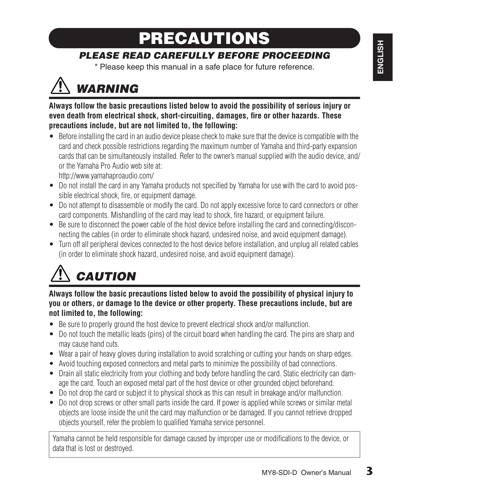## **PRECAUTIONS**

### *PLEASE READ CAREFULLY BEFORE PROCEEDING*

\* Please keep this manual in a safe place for future reference.

## *WARNING*

**Always follow the basic precautions listed below to avoid the possibility of serious injury or even death from electrical shock, short-circuiting, damages, fire or other hazards. These precautions include, but are not limited to, the following:**

• Before installing the card in an audio device please check to make sure that the device is compatible with the card and check possible restrictions regarding the maximum number of Yamaha and third-party expansion cards that can be simultaneously installed. Refer to the owner's manual supplied with the audio device, and/ or the Yamaha Pro Audio web site at: http://www.yamahaproaudio.com/

• Do not install the card in any Yamaha products not specified by Yamaha for use with the card to avoid possible electrical shock, fire, or equipment damage.

- Do not attempt to disassemble or modify the card. Do not apply excessive force to card connectors or other card components. Mishandling of the card may lead to shock, fire hazard, or equipment failure.
- Be sure to disconnect the power cable of the host device before installing the card and connecting/disconnecting the cables (in order to eliminate shock hazard, undesired noise, and avoid equipment damage).
- Turn off all peripheral devices connected to the host device before installation, and unplug all related cables (in order to eliminate shock hazard, undesired noise, and avoid equipment damage).

## *CAUTION*

**Always follow the basic precautions listed below to avoid the possibility of physical injury to you or others, or damage to the device or other property. These precautions include, but are not limited to, the following:**

- Be sure to properly ground the host device to prevent electrical shock and/or malfunction.
- Do not touch the metallic leads (pins) of the circuit board when handling the card. The pins are sharp and may cause hand cuts.
- Wear a pair of heavy gloves during installation to avoid scratching or cutting your hands on sharp edges.
- Avoid touching exposed connectors and metal parts to minimize the possibility of bad connections.
- Drain all static electricity from your clothing and body before handling the card. Static electricity can damage the card. Touch an exposed metal part of the host device or other grounded object beforehand.
- Do not drop the card or subject it to physical shock as this can result in breakage and/or malfunction.
- Do not drop screws or other small parts inside the card. If power is applied while screws or similar metal objects are loose inside the unit the card may malfunction or be damaged. If you cannot retrieve dropped objects yourself, refer the problem to qualified Yamaha service personnel.

Yamaha cannot be held responsible for damage caused by improper use or modifications to the device, or data that is lost or destroyed.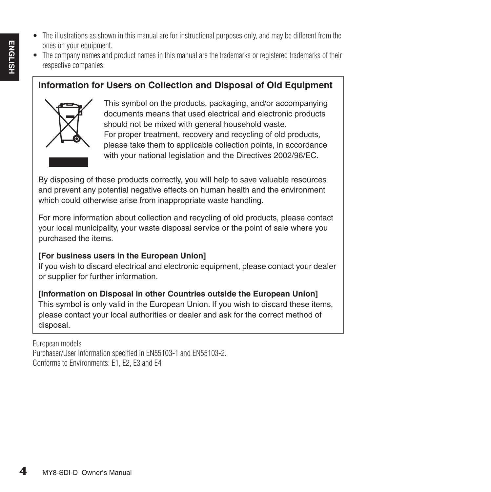- The illustrations as shown in this manual are for instructional purposes only, and may be different from the ones on your equipment.
- The company names and product names in this manual are the trademarks or registered trademarks of their respective companies.

### **Information for Users on Collection and Disposal of Old Equipment**



This symbol on the products, packaging, and/or accompanying documents means that used electrical and electronic products should not be mixed with general household waste. For proper treatment, recovery and recycling of old products, please take them to applicable collection points, in accordance with your national legislation and the Directives 2002/96/EC.

By disposing of these products correctly, you will help to save valuable resources and prevent any potential negative effects on human health and the environment which could otherwise arise from inappropriate waste handling.

For more information about collection and recycling of old products, please contact your local municipality, your waste disposal service or the point of sale where you purchased the items.

#### **[For business users in the European Union]**

If you wish to discard electrical and electronic equipment, please contact your dealer or supplier for further information.

**[Information on Disposal in other Countries outside the European Union]** This symbol is only valid in the European Union. If you wish to discard these items, please contact your local authorities or dealer and ask for the correct method of disposal.

European models Purchaser/User Information specified in EN55103-1 and EN55103-2. Conforms to Environments: E1, E2, E3 and E4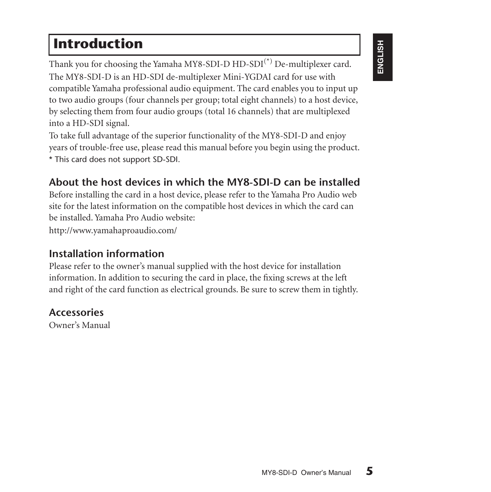### **Introduction**

Thank you for choosing the Yamaha MY8-SDI-D HD-SDI $(*)$  De-multiplexer card. The MY8-SDI-D is an HD-SDI de-multiplexer Mini-YGDAI card for use with compatible Yamaha professional audio equipment. The card enables you to input up to two audio groups (four channels per group; total eight channels) to a host device, by selecting them from four audio groups (total 16 channels) that are multiplexed into a HD-SDI signal.

To take full advantage of the superior functionality of the MY8-SDI-D and enjoy years of trouble-free use, please read this manual before you begin using the product. \* This card does not support SD-SDI.

### **About the host devices in which the MY8-SDI-D can be installed**

Before installing the card in a host device, please refer to the Yamaha Pro Audio web site for the latest information on the compatible host devices in which the card can be installed. Yamaha Pro Audio website: http://www.yamahaproaudio.com/

### **Installation information**

Please refer to the owner's manual supplied with the host device for installation information. In addition to securing the card in place, the fixing screws at the left and right of the card function as electrical grounds. Be sure to screw them in tightly.

### **Accessories**

Owner's Manual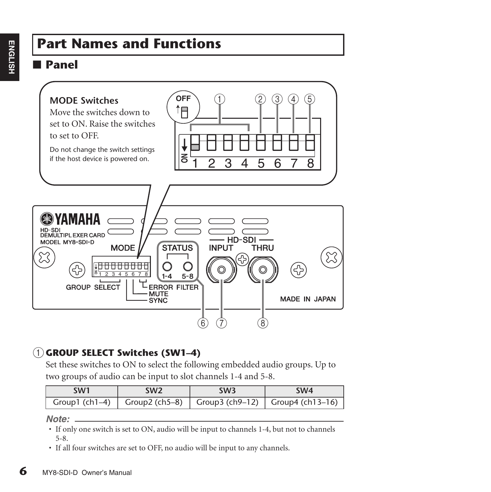### **Part Names and Functions**

### ■ **Panel**



### A**GROUP SELECT Switches (SW1–4)**

Set these switches to ON to select the following embedded audio groups. Up to two groups of audio can be input to slot channels 1-4 and 5-8.

| SW1 | SW2 | SW <sub>3</sub> | SW <sub>4</sub>                                                      |
|-----|-----|-----------------|----------------------------------------------------------------------|
|     |     |                 | Group1 (ch1–4)   Group2 (ch5–8)   Group3 (ch9–12)   Group4 (ch13–16) |

*Note:*

- If only one switch is set to ON, audio will be input to channels 1-4, but not to channels 5-8.
- If all four switches are set to OFF, no audio will be input to any channels.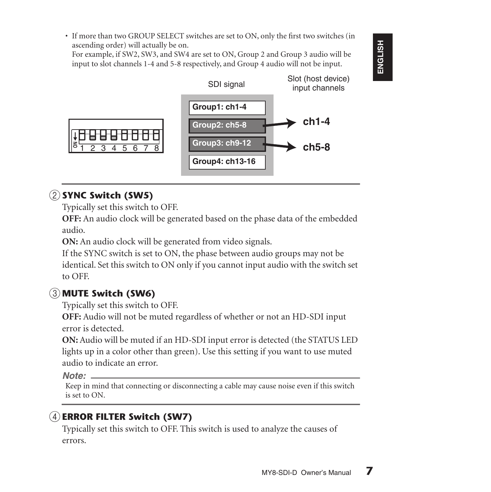• If more than two GROUP SELECT switches are set to ON, only the first two switches (in ascending order) will actually be on.

For example, if SW2, SW3, and SW4 are set to ON, Group 2 and Group 3 audio will be input to slot channels 1-4 and 5-8 respectively, and Group 4 audio will not be input.



### B**SYNC Switch (SW5)**

Typically set this switch to OFF.

**OFF:** An audio clock will be generated based on the phase data of the embedded audio.

**ON:** An audio clock will be generated from video signals.

If the SYNC switch is set to ON, the phase between audio groups may not be identical. Set this switch to ON only if you cannot input audio with the switch set to OFF.

### C**MUTE Switch (SW6)**

Typically set this switch to OFF.

**OFF:** Audio will not be muted regardless of whether or not an HD-SDI input error is detected.

**ON:** Audio will be muted if an HD-SDI input error is detected (the STATUS LED lights up in a color other than green). Use this setting if you want to use muted audio to indicate an error.

### *Note:*

Keep in mind that connecting or disconnecting a cable may cause noise even if this switch is set to ON.

### D**ERROR FILTER Switch (SW7)**

Typically set this switch to OFF. This switch is used to analyze the causes of errors.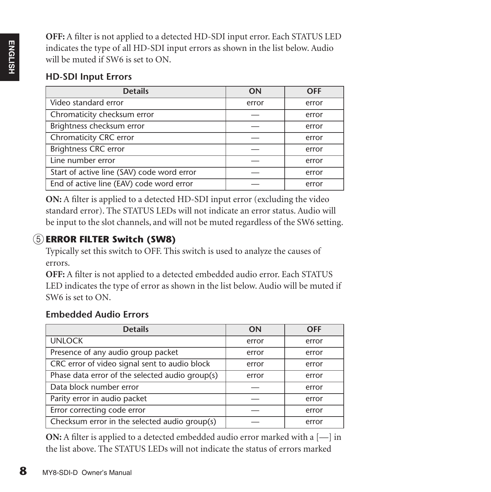**OFF:** A filter is not applied to a detected HD-SDI input error. Each STATUS LED indicates the type of all HD-SDI input errors as shown in the list below. Audio will be muted if SW6 is set to ON.

### **HD-SDI Input Errors**

| <b>Details</b>                             | ON    | <b>OFF</b> |
|--------------------------------------------|-------|------------|
| Video standard error                       | error | error      |
| Chromaticity checksum error                |       | error      |
| Brightness checksum error                  |       | error      |
| Chromaticity CRC error                     |       | error      |
| <b>Brightness CRC error</b>                |       | error      |
| Line number error                          |       | error      |
| Start of active line (SAV) code word error |       | error      |
| End of active line (EAV) code word error   |       | error      |

**ON:** A filter is applied to a detected HD-SDI input error (excluding the video standard error). The STATUS LEDs will not indicate an error status. Audio will be input to the slot channels, and will not be muted regardless of the SW6 setting.

### E**ERROR FILTER Switch (SW8)**

Typically set this switch to OFF. This switch is used to analyze the causes of errors.

**OFF:** A filter is not applied to a detected embedded audio error. Each STATUS LED indicates the type of error as shown in the list below. Audio will be muted if SW6 is set to ON.

### **Embedded Audio Errors**

| <b>Details</b>                                  | ON    | <b>OFF</b> |
|-------------------------------------------------|-------|------------|
| <b>UNLOCK</b>                                   | error | error      |
| Presence of any audio group packet              | error | error      |
| CRC error of video signal sent to audio block   | error | error      |
| Phase data error of the selected audio group(s) | error | error      |
| Data block number error                         |       | error      |
| Parity error in audio packet                    |       | error      |
| Error correcting code error                     |       | error      |
| Checksum error in the selected audio group(s)   |       | error      |

**ON:** A filter is applied to a detected embedded audio error marked with a [—] in the list above. The STATUS LEDs will not indicate the status of errors marked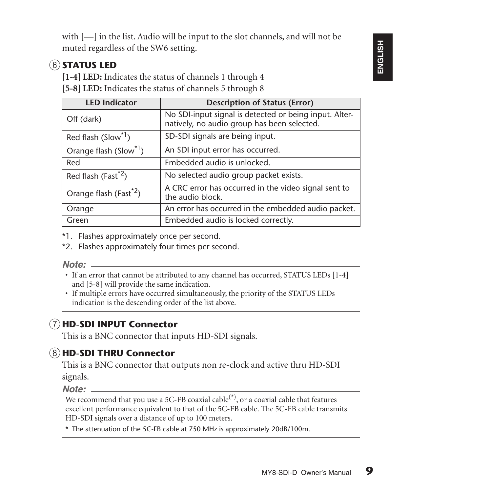with [—] in the list. Audio will be input to the slot channels, and will not be muted regardless of the SW6 setting.

### **(6) STATUS LED**

**[1-4] LED:** Indicates the status of channels 1 through 4 **[5-8] LED:** Indicates the status of channels 5 through 8

| <b>LED Indicator</b>               | Description of Status (Error)                                                                         |
|------------------------------------|-------------------------------------------------------------------------------------------------------|
| Off (dark)                         | No SDI-input signal is detected or being input. Alter-<br>natively, no audio group has been selected. |
| Red flash (Slow <sup>*1</sup> )    | SD-SDI signals are being input.                                                                       |
| Orange flash (Slow <sup>*1</sup> ) | An SDI input error has occurred.                                                                      |
| Red                                | Embedded audio is unlocked.                                                                           |
| Red flash (Fast <sup>*2</sup> )    | No selected audio group packet exists.                                                                |
| Orange flash (Fast <sup>*2</sup> ) | A CRC error has occurred in the video signal sent to<br>the audio block.                              |
| Orange                             | An error has occurred in the embedded audio packet.                                                   |
| Green                              | Embedded audio is locked correctly.                                                                   |

\*1. Flashes approximately once per second.

\*2. Flashes approximately four times per second.

*Note:*

- If an error that cannot be attributed to any channel has occurred, STATUS LEDs [1-4] and [5-8] will provide the same indication.
- If multiple errors have occurred simultaneously, the priority of the STATUS LEDs indication is the descending order of the list above.

### G**HD-SDI INPUT Connector**

This is a BNC connector that inputs HD-SDI signals.

### H**HD-SDI THRU Connector**

This is a BNC connector that outputs non re-clock and active thru HD-SDI signals.

*Note:*

We recommend that you use a 5C-FB coaxial cable<sup>( $*$ )</sup>, or a coaxial cable that features excellent performance equivalent to that of the 5C-FB cable. The 5C-FB cable transmits HD-SDI signals over a distance of up to 100 meters.

\* The attenuation of the 5C-FB cable at 750 MHz is approximately 20dB/100m.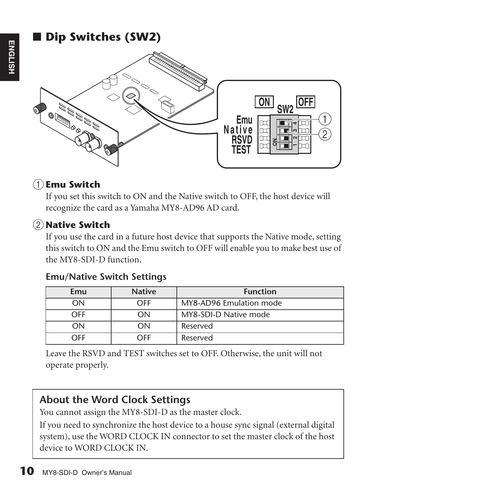### ■ **Dip Switches (SW2)**



### A**Emu Switch**

If you set this switch to ON and the Native switch to OFF, the host device will recognize the card as a Yamaha MY8-AD96 AD card.

### B**Native Switch**

If you use the card in a future host device that supports the Native mode, setting this switch to ON and the Emu switch to OFF will enable you to make best use of the MY8-SDI-D function.

### **Emu/Native Switch Settings**

| Emu | <b>Native</b> | <b>Function</b>         |
|-----|---------------|-------------------------|
| OΝ  | OFF           | MY8-AD96 Emulation mode |
| OFF | ON            | MY8-SDI-D Native mode   |
| OΝ  | ON            | Reserved                |
| ∩FF | ∩FF           | Reserved                |

Leave the RSVD and TEST switches set to OFF. Otherwise, the unit will not operate properly.

### **About the Word Clock Settings**

You cannot assign the MY8-SDI-D as the master clock.

If you need to synchronize the host device to a house sync signal (external digital system), use the WORD CLOCK IN connector to set the master clock of the host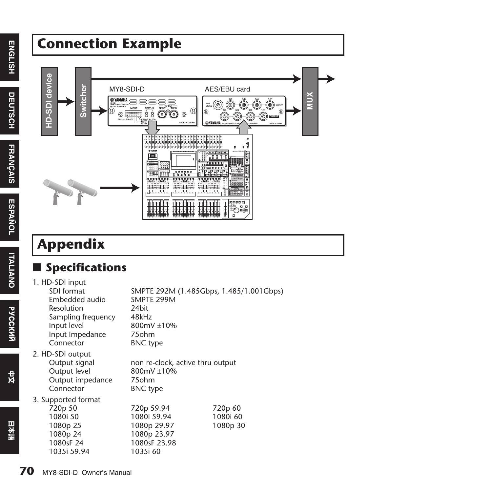### **Connection Example**

![](_page_10_Figure_2.jpeg)

![](_page_10_Figure_10.jpeg)

## **Appendix**

### ■ **Specifications**

| 1. HD-SDI input                                                                                                 |                                                                                                                               |                                 |
|-----------------------------------------------------------------------------------------------------------------|-------------------------------------------------------------------------------------------------------------------------------|---------------------------------|
| SDI format<br>Embedded audio<br>Resolution<br>Sampling frequency<br>Input level<br>Input Impedance<br>Connector | SMPTE 292M (1.485Gbps, 1.485/1.001Gbps)<br>SMPTE 299M<br>24bit<br>48kHz<br>800mV ±10%<br>75 <sub>ohm</sub><br><b>BNC</b> type |                                 |
| 2. HD-SDI output                                                                                                |                                                                                                                               |                                 |
| Output signal<br>Output level<br>Output impedance<br>Connector                                                  | non re-clock, active thru output<br>800mV ±10%<br>75 <sub>ohm</sub><br><b>BNC</b> type                                        |                                 |
| 3. Supported format                                                                                             |                                                                                                                               |                                 |
| 720p 50<br>1080i 50<br>1080p 25<br>1080p 24<br>1080sF 24<br>1035i 59.94                                         | 720p 59.94<br>1080i 59.94<br>1080p 29.97<br>1080p 23.97<br>1080sF 23.98<br>1035i60                                            | 720p 60<br>1080i 60<br>1080p 30 |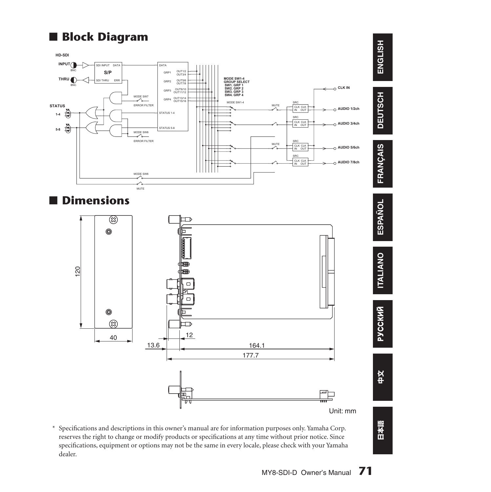### ■ **Block Diagram**

![](_page_11_Figure_1.jpeg)

Unit: mm

\* Specifications and descriptions in this owner's manual are for information purposes only. Yamaha Corp. reserves the right to change or modify products or specifications at any time without prior notice. Since specifications, equipment or options may not be the same in every locale, please check with your Yamaha dealer.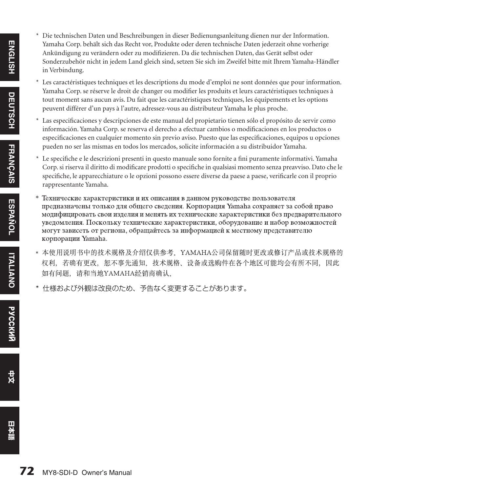- \* Die technischen Daten und Beschreibungen in dieser Bedienungsanleitung dienen nur der Information. Yamaha Corp. behält sich das Recht vor, Produkte oder deren technische Daten jederzeit ohne vorherige Ankündigung zu verändern oder zu modifizieren. Da die technischen Daten, das Gerät selbst oder Sonderzubehör nicht in jedem Land gleich sind, setzen Sie sich im Zweifel bitte mit Ihrem Yamaha-Händler in Verbindung.
- \* Les caractéristiques techniques et les descriptions du mode d'emploi ne sont données que pour information. Yamaha Corp. se réserve le droit de changer ou modifier les produits et leurs caractéristiques techniques à tout moment sans aucun avis. Du fait que les caractéristiques techniques, les équipements et les options peuvent différer d'un pays à l'autre, adressez-vous au distributeur Yamaha le plus proche.
- \* Las especificaciones y descripciones de este manual del propietario tienen sólo el propósito de servir como información. Yamaha Corp. se reserva el derecho a efectuar cambios o modificaciones en los productos o especificaciones en cualquier momento sin previo aviso. Puesto que las especificaciones, equipos u opciones pueden no ser las mismas en todos los mercados, solicite información a su distribuidor Yamaha.
- \* Le specifiche e le descrizioni presenti in questo manuale sono fornite a fini puramente informativi. Yamaha Corp. si riserva il diritto di modificare prodotti o specifiche in qualsiasi momento senza preavviso. Dato che le specifiche, le apparecchiature o le opzioni possono essere diverse da paese a paese, verificarle con il proprio rappresentante Yamaha.
- Технические характеристики и их описания в данном руководстве пользователя предназначены только для общего сведения. Корпорация Yamaha сохраняет за собой право молифицировать свои излелия и менять их технические характеристики без предварительного уведомления. Поскольку технические характеристики, оборудование и набор возможностей могут зависеть от региона, обращайтесь за информацией к местному представителю корпорации Yamaha.
- \* 本使用说明书中的技术规格及介绍仅供参考。YAMAHA公司保留随时更改或修订产品或技术规格的 权利、若确有更改、恕不事先通知。技术规格、设备或选购件在各个地区可能均会有所不同、因此 如有问题, 请和当地YAMAHA经销商确认。
- 仕様および外観は改良のため、予告なく変更することがあります。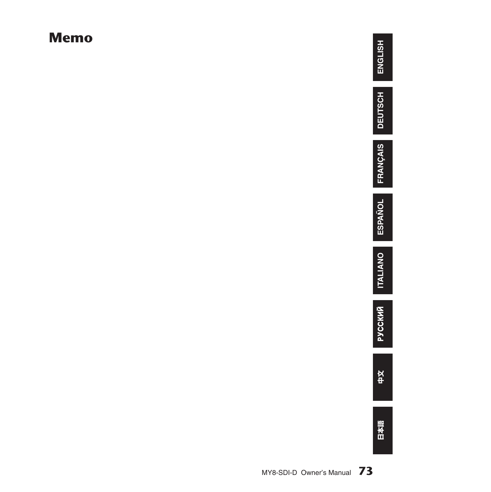### **Memo**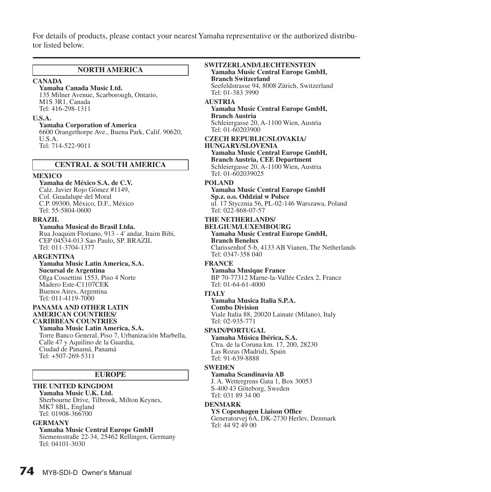For details of products, please contact your nearest Yamaha representative or the authorized distributor listed below.

#### **NORTH AMERICA**

#### **CANADA**

**Yamaha Canada Music Ltd.** 135 Milner Avenue, Scarborough, Ontario, M1S 3R1, Canada Tel: 416-298-1311

#### **U.S.A.**

#### **Yamaha Corporation of America**

6600 Orangethorpe Ave., Buena Park, Calif. 90620, U.S.A. Tel: 714-522-9011

#### **CENTRAL & SOUTH AMERICA**

#### **MEXICO**

#### **Yamaha de México S.A. de C.V.** Calz. Javier Rojo Gómez #1149, Col. Guadalupe del Moral C.P. 09300, México, D.F., México Tel: 55-5804-0600

#### **BRAZIL**

**Yamaha Musical do Brasil Ltda.** Rua Joaquim Floriano, 913 - 4' andar, Itaim Bibi, CEP 04534-013 Sao Paulo, SP. BRAZIL Tel: 011-3704-1377

#### **ARGENTINA**

**Yamaha Music Latin America, S.A. Sucursal de Argentina** Olga Cossettini 1553, Piso 4 Norte Madero Este-C1107CEK Buenos Aires, Argentina Tel: 011-4119-7000

#### **PANAMA AND OTHER LATIN AMERICAN COUNTRIES/ CARIBBEAN COUNTRIES**

**Yamaha Music Latin America, S.A.** Torre Banco General, Piso 7, Urbanización Marbella, Calle 47 y Aquilino de la Guardia, Ciudad de Panamá, Panamá Tel: +507-269-5311

#### **EUROPE**

#### **THE UNITED KINGDOM Yamaha Music U.K. Ltd.**

Sherbourne Drive, Tilbrook, Milton Keynes, MK7 8BL, England Tel: 01908-366700

#### **GERMANY**

#### **Yamaha Music Central Europe GmbH**

Siemensstraße 22-34, 25462 Rellingen, Germany Tel: 04101-3030

#### **SWITZERLAND/LIECHTENSTEIN**

**Yamaha Music Central Europe GmbH, Branch Switzerland** Seefeldstrasse 94, 8008 Zürich, Switzerland Tel: 01-383 3990

#### **AUSTRIA**

**Yamaha Music Central Europe GmbH, Branch Austria** Schleiergasse 20, A-1100 Wien, Austria Tel: 01-60203900

**CZECH REPUBLIC/SLOVAKIA/**

#### **HUNGARY/SLOVENIA**

**Yamaha Music Central Europe GmbH, Branch Austria, CEE Department** Schleiergasse 20, A-1100 Wien, Austria Tel: 01-602039025

#### **POLAND**

**Yamaha Music Central Europe GmbH Sp.z. o.o. Oddzial w Polsce** ul. 17 Stycznia 56, PL-02-146 Warszawa, Poland Tel: 022-868-07-57

#### **THE NETHERLANDS/**

#### **BELGIUM/LUXEMBOURG Yamaha Music Central Europe GmbH, Branch Benelux**  Clarissenhof 5-b, 4133 AB Vianen, The Netherlands Tel: 0347-358 040

#### **FRANCE**

**Yamaha Musique France**  BP 70-77312 Marne-la-Vallée Cedex 2, France Tel: 01-64-61-4000

#### **ITALY**

**Yamaha Musica Italia S.P.A. Combo Division** Viale Italia 88, 20020 Lainate (Milano), Italy Tel: 02-935-771

#### **SPAIN/PORTUGAL**

**Yamaha Música Ibérica, S.A.** Ctra. de la Coruna km. 17, 200, 28230 Las Rozas (Madrid), Spain Tel: 91-639-8888

#### **SWEDEN**

**Yamaha Scandinavia AB** J. A. Wettergrens Gata 1, Box 30053 S-400 43 Göteborg, Sweden Tel: 031 89 34 00

#### **DENMARK**

**YS Copenhagen Liaison Office** Generatorvej 6A, DK-2730 Herlev, Denmark Tel: 44 92 49 00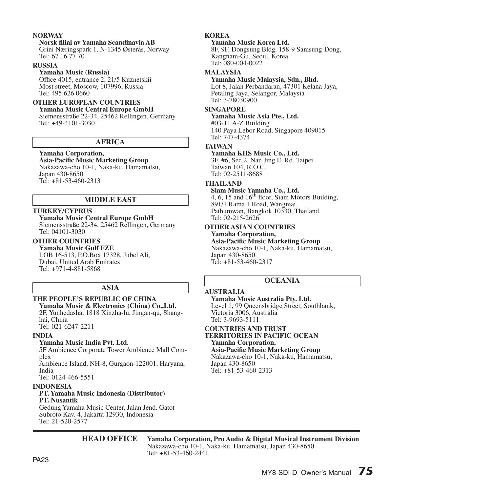#### **NORWAY**

#### **Norsk filial av Yamaha Scandinavia AB**

Grini Næringspark 1, N-1345 Østerås, Norway Tel: 67 16 77 70

#### **RUSSIA**

**Yamaha Music (Russia)** Office 4015, entrance 2, 21/5 Kuznetskii Most street, Moscow, 107996, Russia

Tel: 495 626 0660

#### **OTHER EUROPEAN COUNTRIES**

**Yamaha Music Central Europe GmbH** Siemensstraße 22-34, 25462 Rellingen, Germany Tel: +49-4101-3030

#### **AFRICA**

#### **Yamaha Corporation,**

**Asia-Pacific Music Marketing Group** Nakazawa-cho 10-1, Naka-ku, Hamamatsu, Japan 430-8650 Tel: +81-53-460-2313

#### **MIDDLE EAST**

#### **TURKEY/CYPRUS**

**Yamaha Music Central Europe GmbH** Siemensstraße 22-34, 25462 Rellingen, Germany Tel: 04101-3030

#### **OTHER COUNTRIES**

**Yamaha Music Gulf FZE** LOB 16-513, P.O.Box 17328, Jubel Ali, Dubai, United Arab Emirates Tel: +971-4-881-5868

#### **ASIA**

#### **THE PEOPLE'S REPUBLIC OF CHINA**

**Yamaha Music & Electronics (China) Co.,Ltd.** 2F, Yunhedasha, 1818 Xinzha-lu, Jingan-qu, Shanghai, China Tel: 021-6247-2211

#### **INDIA**

#### **Yamaha Music India Pvt. Ltd.**

5F Ambience Corporate Tower Ambience Mall Complex

Ambience Island, NH-8, Gurgaon-122001, Haryana, India

Tel: 0124-466-5551

#### **INDONESIA**

#### **PT. Yamaha Music Indonesia (Distributor) PT. Nusantik**

Gedung Yamaha Music Center, Jalan Jend. Gatot Subroto Kav. 4, Jakarta 12930, Indonesia Tel: 21-520-2577

#### **KOREA**

#### **Yamaha Music Korea Ltd.**

8F, 9F, Dongsung Bldg. 158-9 Samsung-Dong, Kangnam-Gu, Seoul, Korea Tel: 080-004-0022

#### **MALAYSIA**

**Yamaha Music Malaysia, Sdn., Bhd.** Lot 8, Jalan Perbandaran, 47301 Kelana Jaya, Petaling Jaya, Selangor, Malaysia Tel: 3-78030900

#### **SINGAPORE**

**Yamaha Music Asia Pte., Ltd.** #03-11 A-Z Building 140 Paya Lebor Road, Singapore 409015 Tel: 747-4374

#### **TAIWAN**

**Yamaha KHS Music Co., Ltd.**  3F, #6, Sec.2, Nan Jing E. Rd. Taipei. Taiwan 104, R.O.C. Tel: 02-2511-8688

#### **THAILAND**

**Siam Music Yamaha Co., Ltd.**  $4, 6, 15$  and  $16<sup>th</sup>$  floor, Siam Motors Building, 891/1 Rama 1 Road, Wangmai, Pathumwan, Bangkok 10330, Thailand Tel: 02-215-2626

#### **OTHER ASIAN COUNTRIES**

**Yamaha Corporation, Asia-Pacific Music Marketing Group** Nakazawa-cho 10-1, Naka-ku, Hamamatsu, Japan 430-8650 Tel: +81-53-460-2317

#### **OCEANIA**

#### **AUSTRALIA**

**Yamaha Music Australia Pty. Ltd.** Level 1, 99 Queensbridge Street, Southbank, Victoria 3006, Australia Tel: 3-9693-5111

#### **COUNTRIES AND TRUST**

**TERRITORIES IN PACIFIC OCEAN Yamaha Corporation, Asia-Pacific Music Marketing Group** Nakazawa-cho 10-1, Naka-ku, Hamamatsu, Japan 430-8650 Tel: +81-53-460-2313

**HEAD OFFICE Yamaha Corporation, Pro Audio & Digital Musical Instrument Division** Nakazawa-cho 10-1, Naka-ku, Hamamatsu, Japan 430-8650 Tel:  $+81-53-460-2441$